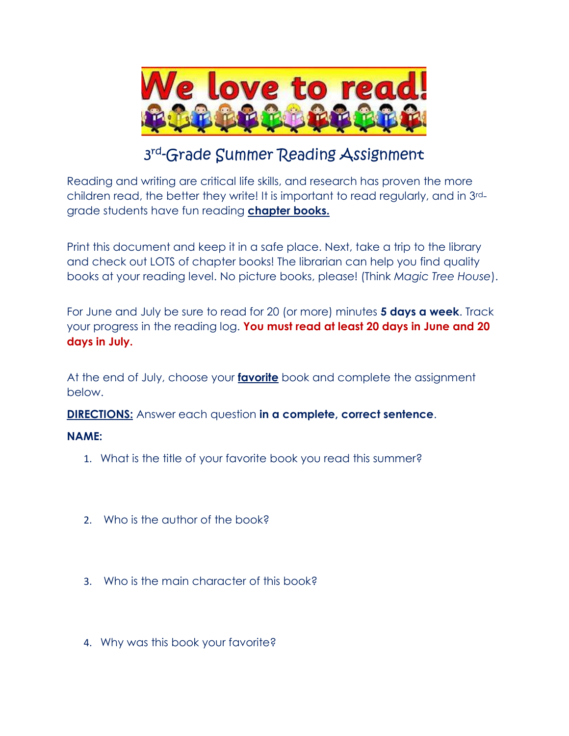

### <sup>3rd</sup>-Grade Summer Reading Assignmen<del>t</del>

Reading and writing are critical life skills, and research has proven the more children read, the better they write! It is important to read regularly, and in 3rdgrade students have fun reading **chapter books.**

Print this document and keep it in a safe place. Next, take a trip to the library and check out LOTS of chapter books! The librarian can help you find quality books at your reading level. No picture books, please! (Think *Magic Tree House*).

For June and July be sure to read for 20 (or more) minutes **5 days a week**. Track your progress in the reading log. **You must read at least 20 days in June and 20 days in July.**

At the end of July, choose your **favorite** book and complete the assignment below.

**DIRECTIONS:** Answer each question **in a complete, correct sentence**.

### **NAME:**

- 1. What is the title of your favorite book you read this summer?
- 2. Who is the author of the book?
- 3. Who is the main character of this book?
- 4. Why was this book your favorite?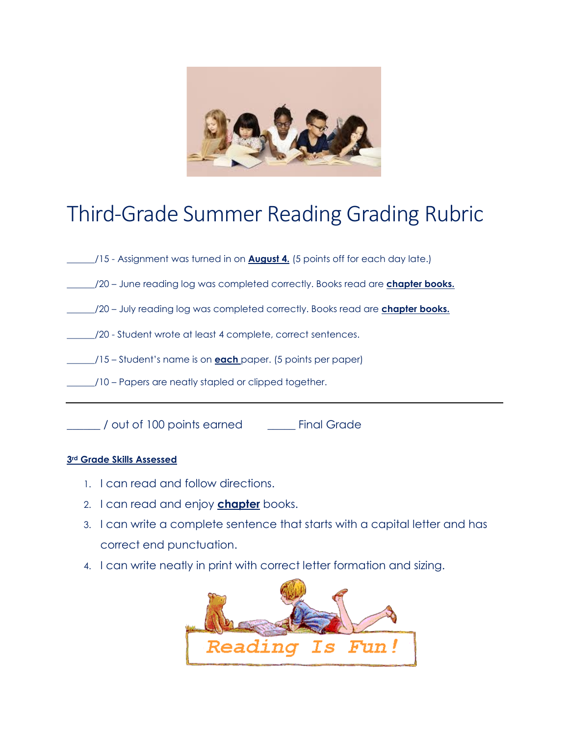

### Third-Grade Summer Reading Grading Rubric

- \_\_\_\_\_\_/15 Assignment was turned in on **August 4.** (5 points off for each day late.)
- \_\_\_\_\_\_/20 June reading log was completed correctly. Books read are **chapter books.**
- \_\_\_\_\_\_/20 July reading log was completed correctly. Books read are **chapter books.**
- \_\_\_\_\_\_/20 Student wrote at least 4 complete, correct sentences.
- \_\_\_\_\_\_/15 Student's name is on **each** paper. (5 points per paper)
- \_\_\_\_\_\_/10 Papers are neatly stapled or clipped together.

\_\_\_\_\_\_ / out of 100 points earned \_\_\_\_\_ Final Grade

#### **3rd Grade Skills Assessed**

- 1. I can read and follow directions.
- 2. I can read and enjoy **chapter** books.
- 3. I can write a complete sentence that starts with a capital letter and has correct end punctuation.
- 4. I can write neatly in print with correct letter formation and sizing.

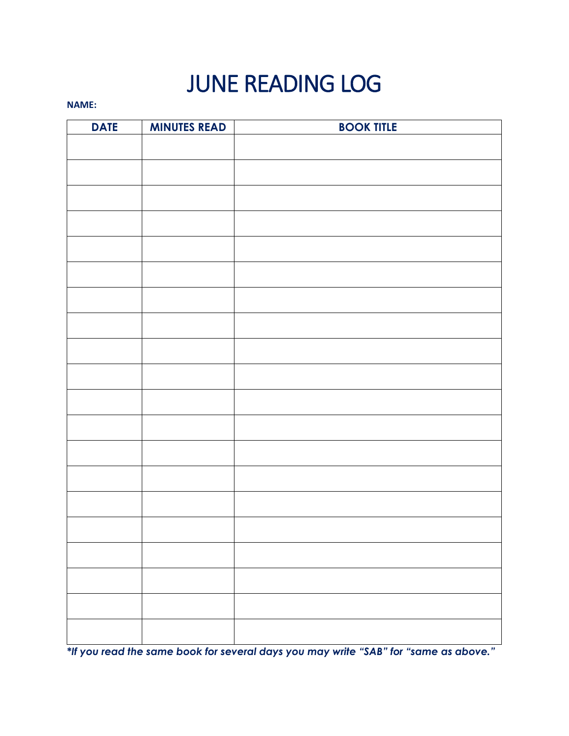# JUNE READING LOG

#### **NAME:**

| <b>DATE</b> | <b>MINUTES READ</b> | <b>BOOK TITLE</b> |
|-------------|---------------------|-------------------|
|             |                     |                   |
|             |                     |                   |
|             |                     |                   |
|             |                     |                   |
|             |                     |                   |
|             |                     |                   |
|             |                     |                   |
|             |                     |                   |
|             |                     |                   |
|             |                     |                   |
|             |                     |                   |
|             |                     |                   |
|             |                     |                   |
|             |                     |                   |
|             |                     |                   |
|             |                     |                   |
|             |                     |                   |
|             |                     |                   |
|             |                     |                   |
|             |                     |                   |
|             |                     |                   |

*\*If you read the same book for several days you may write "SAB" for "same as above."*